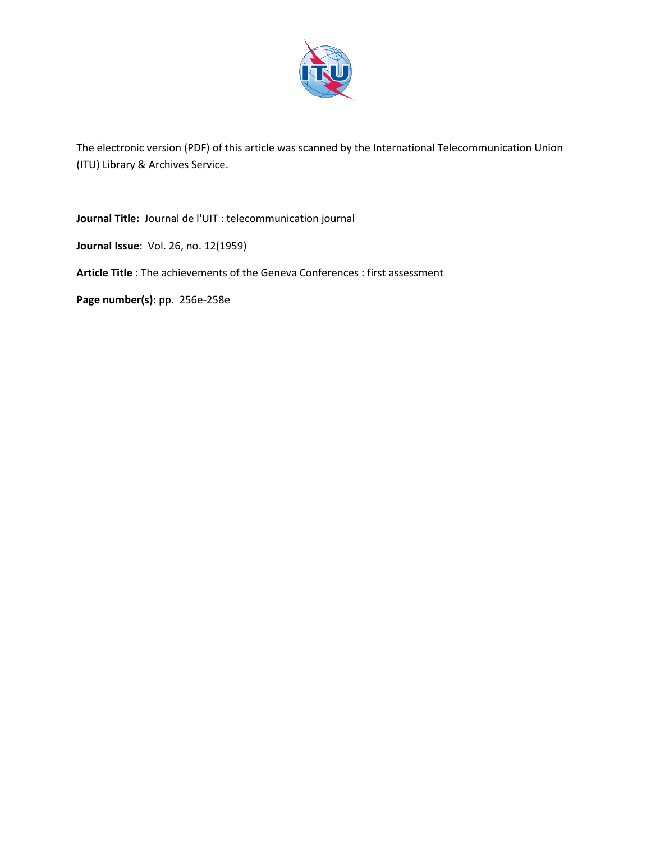

The electronic version (PDF) of this article was scanned by the International Telecommunication Union (ITU) Library & Archives Service.

**Journal Title:** Journal de l'UIT : telecommunication journal

**Journal Issue**: Vol. 26, no. 12(1959)

**Article Title** : The achievements of the Geneva Conferences : first assessment

**Page number(s):** pp. 256e-258e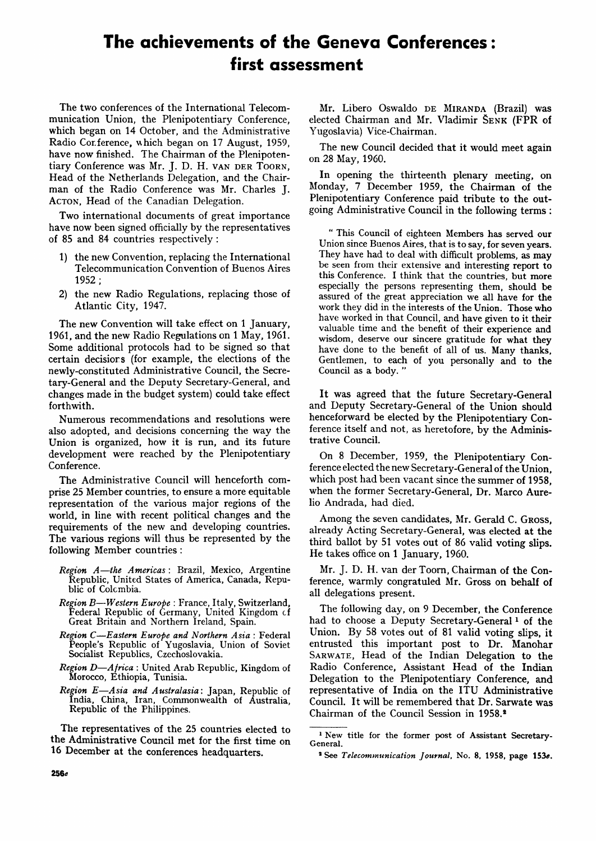# **The achievements of the Geneva Conferences: first assessment**

The two conferences of the International Telecommunication Union, the Plenipotentiary Conference, which began on 14 October, and the Administrative Radio Conference, which began on 17 August, 1959, have now finished. The Chairman of the Plenipotentiary Conference was Mr. J. D. H. VAN DER TOORN, Head of the Netherlands Delegation, and the Chairman of the Radio Conference was Mr. Charles J. ACTON, Head of the Canadian Delegation.

Two international documents of great importance have now been signed officially by the representatives of 85 and 84 countries respectively :

- 1) the new Convention, replacing the International Telecommunication Convention of Buenos Aires 1952;
- 2) the new Radio Regulations, replacing those of Atlantic City, 1947.

The new Convention will take effect on 1 January, 1961, and the new Radio Regulations on 1 May, 1961. Some additional protocols had to be signed so that certain decisiors (for example, the elections of the newly-constituted Administrative Council, the Secretary-General and the Deputy Secretary-General, and changes made in the budget system) could take effect forthwith.

Numerous recommendations and resolutions were also adopted, and decisions concerning the way the Union is organized, how it is run, and its future development were reached by the Plenipotentiary Conference.

The Administrative Council will henceforth comprise 25 Member countries, to ensure a more equitable representation of the various major regions of the world, in line with recent political changes and the requirements of the new and developing countries. The various regions will thus be represented by the following Member countries :

- *Region A*—*the Americas :* Brazil, Mexico, Argentine Republic, United States of America, Canada, Republic of Colcmbia.
- *Region B*—*Western Europe* : France, Italy, Switzerland, Federal Republic of Germany, United Kingdom cf Great Britain and Northern Ireland, Spain.
- *Region C*—*Eastern Europe and Northern Asia :* Federal People's Republic of Yugoslavia, Union of Soviet Socialist Republics, Czechoslovakia.
- *Region D*—*Africa* : United Arab Republic, Kingdom of Morocco, Ethiopia, Tunisia.
- *Region E*—*Asia and Australasia:* Japan, Republic of India, China, Iran, Commonwealth of Australia, Republic of the Philippines.

The representatives of the 25 countries elected to the Administrative Council met for the first time on 16 December at the conferences headquarters.

Mr. Libero Oswaldo DE MIRANDA (Brazil) was elected Chairman and Mr. Vladimir SENK (FPR of Yugoslavia) Vice-Chairman.

The new Council decided that it would meet again on 28 May, 1960.

In opening the thirteenth plenary meeting, on Monday, 7 December 1959, the Chairman of the Plenipotentiary Conference paid tribute to the outgoing Administrative Council in the following terms :

" This Council of eighteen Members has served our Union since Buenos Aires, that is to say, for seven years. They have had to deal with difficult problems, as may be seen from their extensive and interesting report to this Conference. I think that the countries, but more especially the persons representing them, should be assured of the great appreciation we all have for the work they did in the interests of the Union. Those who have worked in that Council, and have given to it their valuable time and the benefit of their experience and wisdom, deserve our sincere gratitude for what they have done to the benefit of all of us. Many thanks, Gentlemen, to each of you personally and to the Council as a body. "

It was agreed that the future Secretary-General and Deputy Secretary-General of the Union should henceforward be elected by the Plenipotentiary Conference itself and not, as heretofore, by the Administrative Council.

On 8 December, 1959, the Plenipotentiary Conference elected the new Secretary-General of the Union, which post had been vacant since the summer of 1958, when the former Secretary-General, Dr. Marco Aurelio Andrada, had died.

Among the seven candidates, Mr. Gerald C. GROSS, already Acting Secretary-General, was elected at the third ballot by 51 votes out of 86 valid voting slips. He takes office on 1 January, 1960.

Mr. J. D. H. van der Toorn, Chairman of the Conference, warmly congratuled Mr. Gross on behalf of all delegations present.

The following day, on 9 December, the Conference had to choose a Deputy Secretary-General<sup>1</sup> of the Union. By 58 votes out of 81 valid voting slips, it entrusted this important post to Dr. Manohar SARWATE, Head of the Indian Delegation to the Radio Conference, Assistant Head of the Indian Delegation to the Plenipotentiary Conference, and representative of India on the ITU Administrative Council. It will be remembered that Dr. Sarwate was Chairman of the Council Session in 1958.<sup>2</sup>

<sup>&</sup>lt;sup>1</sup> New title for the former post of Assistant Secretary-General.

<sup>&</sup>lt;sup>2</sup> See Telecommunication Journal, No. 8, 1958, page 153e.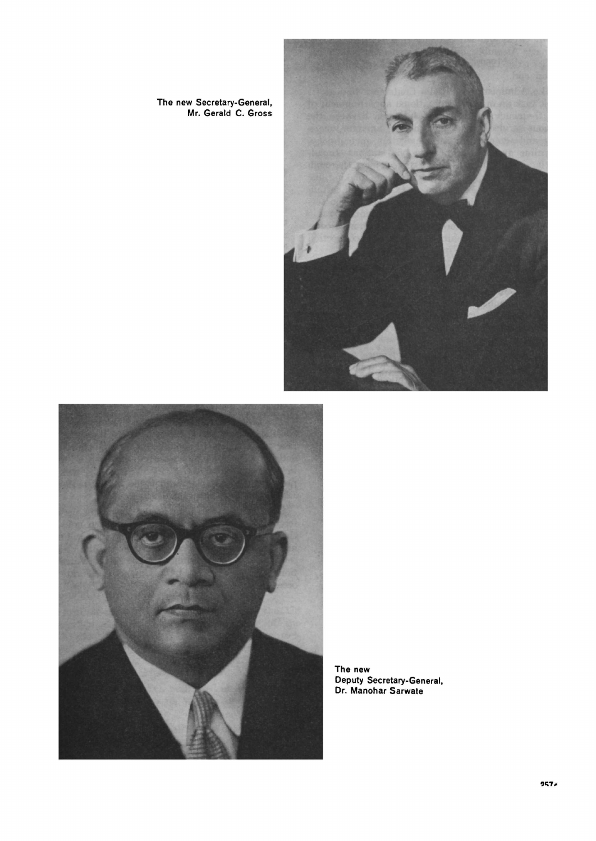

**The new Secretary-General, Mr. Gerald C. Gross** 



**The new Deputy Secretary-General, Dr. Manohar Sarwate**